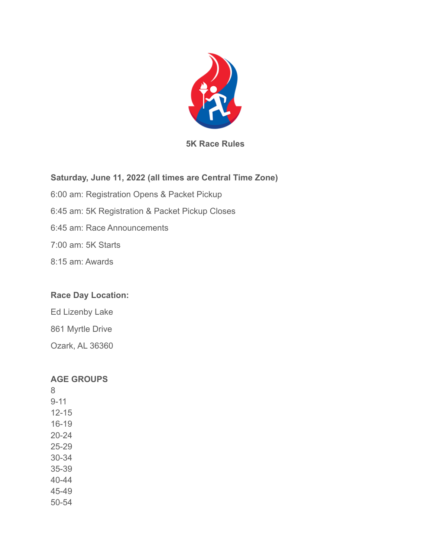

**5K Race Rules**

# **Saturday, June 11, 2022 (all times are Central Time Zone)**

6:00 am: Registration Opens & Packet Pickup

6:45 am: 5K Registration & Packet Pickup Closes

6:45 am: Race Announcements

7:00 am: 5K Starts

8:15 am: Awards

## **Race Day Location:**

Ed Lizenby Lake 861 Myrtle Drive Ozark, AL 36360

## **AGE GROUPS**

8 9-11 12-15 16-19 20-24 25-29 30-34 35-39 40-44 45-49 50-54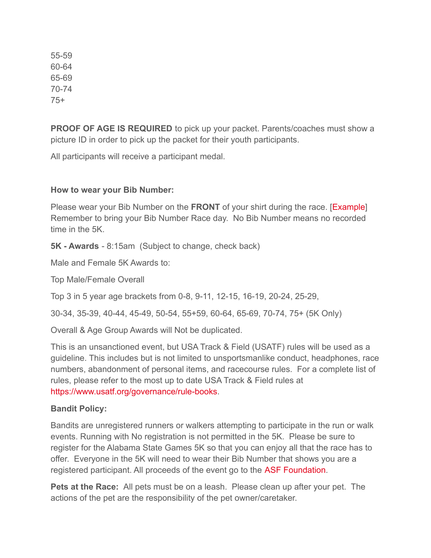55-59 60-64 65-69 70-74 75+

**PROOF OF AGE IS REQUIRED** to pick up your packet. Parents/coaches must show a picture ID in order to pick up the packet for their youth participants.

All participants will receive a participant medal.

#### **How to wear your Bib Number:**

Please wear your Bib Number on the **FRONT** of your shirt during the race. [\[Example\]](https://championship-racing.com/racing-101/wearing-your-bib/) Remember to bring your Bib Number Race day. No Bib Number means no recorded time in the 5K

**5K - Awards** - 8:15am (Subject to change, check back)

Male and Female 5K Awards to:

Top Male/Female Overall

Top 3 in 5 year age brackets from 0-8, 9-11, 12-15, 16-19, 20-24, 25-29,

30-34, 35-39, 40-44, 45-49, 50-54, 55+59, 60-64, 65-69, 70-74, 75+ (5K Only)

Overall & Age Group Awards will Not be duplicated.

This is an unsanctioned event, but USA Track & Field (USATF) rules will be used as a guideline. This includes but is not limited to unsportsmanlike conduct, headphones, race numbers, abandonment of personal items, and racecourse rules. For a complete list of rules, please refer to the most up to date USA Track & Field rules at [https://www.usatf.org/governance/rule-books.](https://www.usatf.org/governance/rule-books)

## **Bandit Policy:**

Bandits are unregistered runners or walkers attempting to participate in the run or walk events. Running with No registration is not permitted in the 5K. Please be sure to register for the Alabama State Games 5K so that you can enjoy all that the race has to offer. Everyone in the 5K will need to wear their Bib Number that shows you are a registered participant. All proceeds of the event go to the [ASF Foundation.](https://www.asffoundation.org/)

**Pets at the Race:** All pets must be on a leash. Please clean up after your pet. The actions of the pet are the responsibility of the pet owner/caretaker.